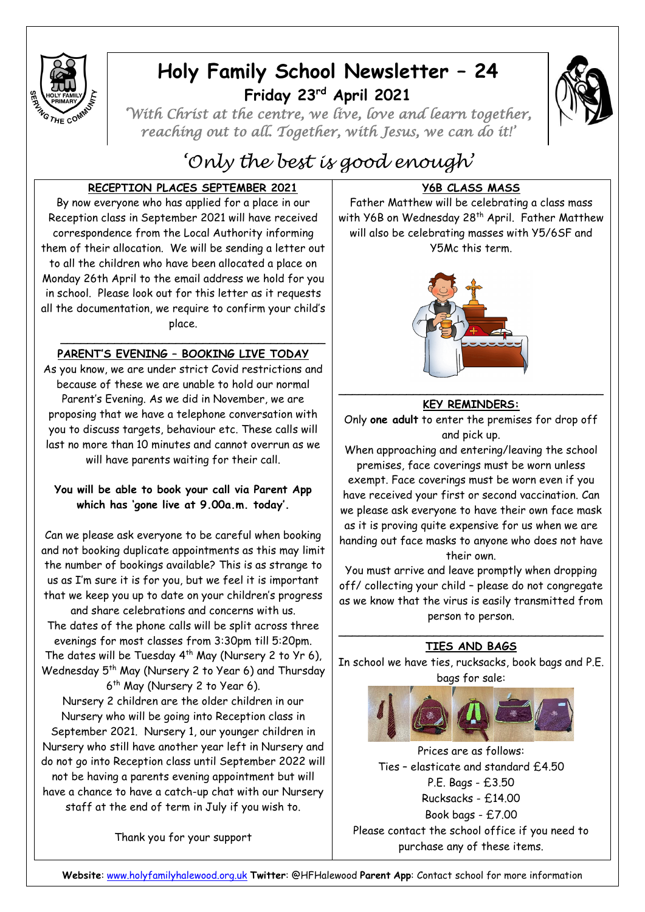

# **Holy Family School Newsletter – 24 Friday 23rd April 2021**



*'With Christ at the centre, we live, love and learn together, reaching out to all. Together, with Jesus, we can do it!'* 

# *'Only the best is good enough'*

## **RECEPTION PLACES SEPTEMBER 2021**

By now everyone who has applied for a place in our Reception class in September 2021 will have received correspondence from the Local Authority informing them of their allocation. We will be sending a letter out to all the children who have been allocated a place on Monday 26th April to the email address we hold for you in school. Please look out for this letter as it requests all the documentation, we require to confirm your child's place.

## **PARENT'S EVENING – BOOKING LIVE TODAY**

\_\_\_\_\_\_\_\_\_\_\_\_\_\_\_\_\_\_\_\_\_\_\_\_\_\_\_\_\_\_\_\_\_\_\_\_\_\_\_

As you know, we are under strict Covid restrictions and because of these we are unable to hold our normal Parent's Evening. As we did in November, we are proposing that we have a telephone conversation with you to discuss targets, behaviour etc. These calls will last no more than 10 minutes and cannot overrun as we will have parents waiting for their call.

## **You will be able to book your call via Parent App which has 'gone live at 9.00a.m. today'.**

Can we please ask everyone to be careful when booking and not booking duplicate appointments as this may limit the number of bookings available? This is as strange to us as I'm sure it is for you, but we feel it is important that we keep you up to date on your children's progress and share celebrations and concerns with us. The dates of the phone calls will be split across three evenings for most classes from 3:30pm till 5:20pm. The dates will be Tuesday  $4^{th}$  May (Nursery 2 to Yr 6), Wednesday 5<sup>th</sup> May (Nursery 2 to Year 6) and Thursday 6 th May (Nursery 2 to Year 6).

Nursery 2 children are the older children in our Nursery who will be going into Reception class in September 2021. Nursery 1, our younger children in Nursery who still have another year left in Nursery and do not go into Reception class until September 2022 will not be having a parents evening appointment but will have a chance to have a catch-up chat with our Nursery staff at the end of term in July if you wish to.

Thank you for your support

# **Y6B CLASS MASS**

Father Matthew will be celebrating a class mass with Y6B on Wednesday 28<sup>th</sup> April. Father Matthew will also be celebrating masses with Y5/6SF and Y5Mc this term.



## **KEY REMINDERS:**

Only **one adult** to enter the premises for drop off and pick up.

When approaching and entering/leaving the school premises, face coverings must be worn unless

exempt. Face coverings must be worn even if you have received your first or second vaccination. Can we please ask everyone to have their own face mask as it is proving quite expensive for us when we are handing out face masks to anyone who does not have their own.

You must arrive and leave promptly when dropping off/ collecting your child – please do not congregate as we know that the virus is easily transmitted from person to person.

#### \_\_\_\_\_\_\_\_\_\_\_\_\_\_\_\_\_\_\_\_\_\_\_\_\_\_\_\_\_\_\_\_\_\_\_\_\_\_\_ **TIES AND BAGS**

In school we have ties, rucksacks, book bags and P.E. bags for sale:



Prices are as follows: Ties – elasticate and standard £4.50 P.E. Bags - £3.50 Rucksacks - £14.00 Book bags - £7.00 Please contact the school office if you need to purchase any of these items.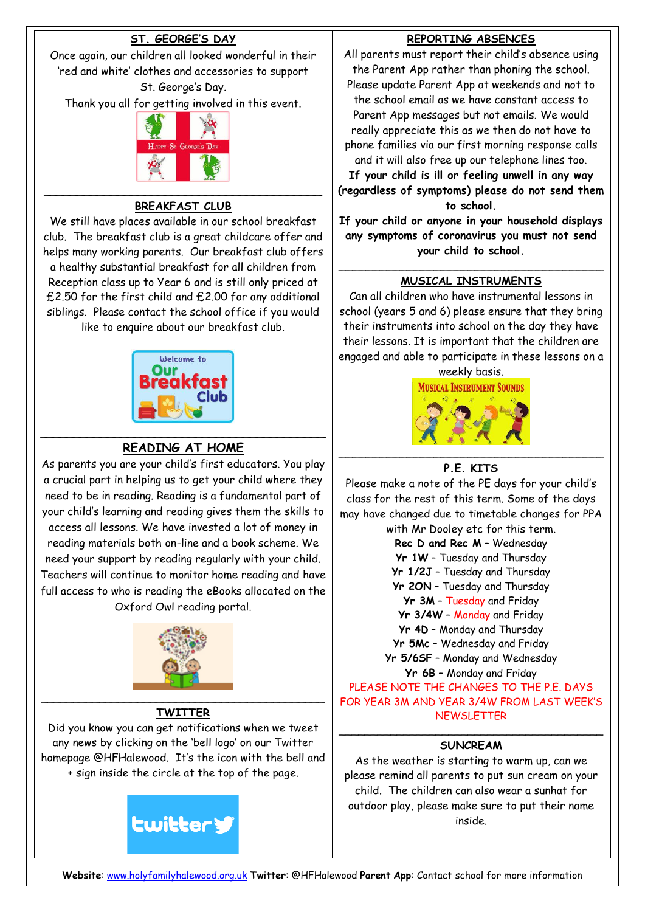## **ST. GEORGE'S DAY**

Once again, our children all looked wonderful in their 'red and white' clothes and accessories to support St. George's Day.

Thank you all for getting involved in this event.



## $\overline{\phantom{a}}$  , and the contract of the contract of the contract of the contract of the contract of the contract of the contract of the contract of the contract of the contract of the contract of the contract of the contrac **BREAKFAST CLUB**

We still have places available in our school breakfast club. The breakfast club is a great childcare offer and helps many working parents. Our breakfast club offers a healthy substantial breakfast for all children from Reception class up to Year 6 and is still only priced at £2.50 for the first child and £2.00 for any additional siblings. Please contact the school office if you would like to enquire about our breakfast club.



## **READING AT HOME**

As parents you are your child's first educators. You play a crucial part in helping us to get your child where they need to be in reading. Reading is a fundamental part of your child's learning and reading gives them the skills to access all lessons. We have invested a lot of money in reading materials both on-line and a book scheme. We need your support by reading regularly with your child. Teachers will continue to monitor home reading and have full access to who is reading the eBooks allocated on the Oxford Owl reading portal.



## **TWITTER**

Did you know you can get notifications when we tweet any news by clicking on the 'bell logo' on our Twitter homepage @HFHalewood. It's the icon with the bell and + sign inside the circle at the top of the page.



## **REPORTING ABSENCES**

All parents must report their child's absence using the Parent App rather than phoning the school.

Please update Parent App at weekends and not to the school email as we have constant access to Parent App messages but not emails. We would really appreciate this as we then do not have to phone families via our first morning response calls and it will also free up our telephone lines too.

**If your child is ill or feeling unwell in any way (regardless of symptoms) please do not send them to school.**

**If your child or anyone in your household displays any symptoms of coronavirus you must not send your child to school.**

#### \_\_\_\_\_\_\_\_\_\_\_\_\_\_\_\_\_\_\_\_\_\_\_\_\_\_\_\_\_\_\_\_\_\_\_\_\_\_\_ **MUSICAL INSTRUMENTS**

Can all children who have instrumental lessons in school (years 5 and 6) please ensure that they bring their instruments into school on the day they have their lessons. It is important that the children are engaged and able to participate in these lessons on a

weekly basis.

**MUSICAL INSTRUMENT SOUNDS** 



# **P.E. KITS**

Please make a note of the PE days for your child's class for the rest of this term. Some of the days may have changed due to timetable changes for PPA with Mr Dooley etc for this term.

**Rec D and Rec M** – Wednesday **Yr 1W** – Tuesday and Thursday **Yr 1/2J** – Tuesday and Thursday **Yr 2ON** – Tuesday and Thursday **Yr 3M** – Tuesday and Friday **Yr 3/4W** – Monday and Friday **Yr 4D** – Monday and Thursday **Yr 5Mc** – Wednesday and Friday **Yr 5/6SF** – Monday and Wednesday **Yr 6B** – Monday and Friday PLEASE NOTE THE CHANGES TO THE P.E. DAYS FOR YEAR 3M AND YEAR 3/4W FROM LAST WEEK'S

**NEWSLETTER** 

#### $\overline{\phantom{a}}$  , and the contract of the contract of the contract of the contract of the contract of the contract of the contract of the contract of the contract of the contract of the contract of the contract of the contrac **SUNCREAM**

As the weather is starting to warm up, can we please remind all parents to put sun cream on your child. The children can also wear a sunhat for outdoor play, please make sure to put their name inside.